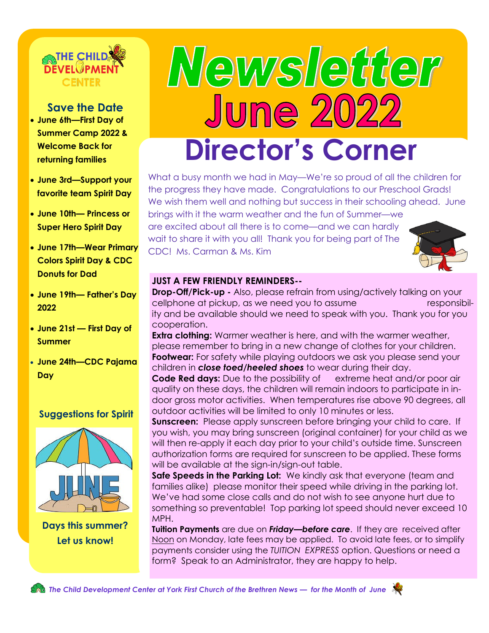

### **Save the Date**

- **June 6th—First Day of Summer Camp 2022 & Welcome Back for returning families**
- **June 3rd—Support your favorite team Spirit Day**
- **June 10th— Princess or Super Hero Spirit Day**
- **June 17th—Wear Primary Colors Spirit Day & CDC Donuts for Dad**
- **June 19th— Father's Day 2022**
- **June 21st — First Day of Summer**
- **June 24th—CDC Pajama Day**

### **Suggestions for Spirit**



**Days this summer? Let us know!** 

# Newsleader **June 202 Director's Corner**

What a busy month we had in May—We're so proud of all the children for the progress they have made. Congratulations to our Preschool Grads! We wish them well and nothing but success in their schooling ahead. June brings with it the warm weather and the fun of Summer—we are excited about all there is to come—and we can hardly

wait to share it with you all! Thank you for being part of The CDC! Ms. Carman & Ms. Kim



### **JUST A FEW FRIENDLY REMINDERS--**

**Drop-Off/Pick-up -** Also, please refrain from using/actively talking on your cellphone at pickup, as we need you to assume responsibility and be available should we need to speak with you. Thank you for you cooperation.

**Extra clothing:** Warmer weather is here, and with the warmer weather, please remember to bring in a new change of clothes for your children. **Footwear:** For safety while playing outdoors we ask you please send your children in *close toed/heeled shoes* to wear during their day.

**Code Red days:** Due to the possibility of extreme heat and/or poor air quality on these days, the children will remain indoors to participate in indoor gross motor activities. When temperatures rise above 90 degrees, all outdoor activities will be limited to only 10 minutes or less.

**Sunscreen:** Please apply sunscreen before bringing your child to care. If you wish, you may bring sunscreen (original container) for your child as we will then re-apply it each day prior to your child's outside time. Sunscreen authorization forms are required for sunscreen to be applied. These forms will be available at the sign-in/sign-out table.

**Safe Speeds in the Parking Lot:** We kindly ask that everyone (team and families alike) please monitor their speed while driving in the parking lot. We've had some close calls and do not wish to see anyone hurt due to something so preventable! Top parking lot speed should never exceed 10 MPH.

**Tuition Payments** are due on *Friday—before care*. If they are received after Noon on Monday, late fees may be applied. To avoid late fees, or to simplify payments consider using the *TUITION EXPRESS* option. Questions or need a form? Speak to an Administrator, they are happy to help.

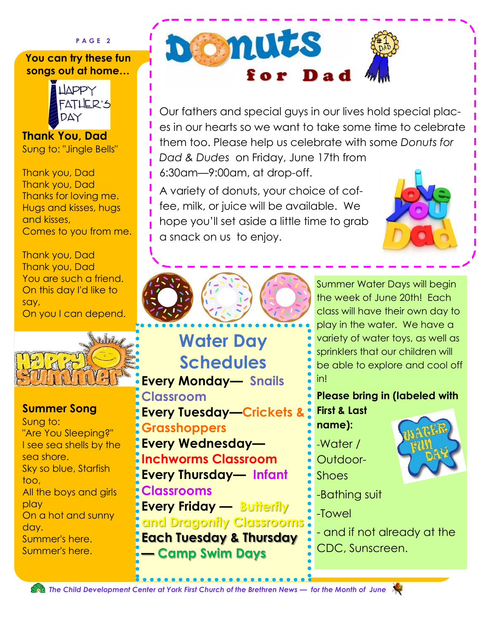**P A G E 2**

### **You can try these fun songs out at home…**



**Thank You, Dad** Sung to: "Jingle Bells"

Thank you, Dad Thank you, Dad Thanks for loving me. Hugs and kisses, hugs and kisses, Comes to you from me.

Thank you, Dad Thank you, Dad You are such a friend. On this day I'd like to say, On you I can depend.

 $\mathbf{h}$ 



"Are You Sleeping?" I see sea shells by the sea shore. Sky so blue, Starfish too, All the boys and girls play On a hot and sunny day. Summer's here. Summer's here.



Our fathers and special guys in our lives hold special places in our hearts so we want to take some time to celebrate them too. Please help us celebrate with some *Donuts for Dad & Dudes* on Friday, June 17th from 6:30am—9:00am, at drop-off.

A variety of donuts, your choice of coffee, milk, or juice will be available. We hope you'll set aside a little time to grab a snack on us to enjoy.





## **Water Day Schedules Every Monday— Snails**

**Classroom Every Tuesday—Crickets &** 

**Grasshoppers Every Wednesday— Inchworms Classroom Every Thursday— Infant Classrooms Every Friday — Butterfly and Dragonfly Classrooms Each Tuesday & Thursday — Camp Swim Days** 

Summer Water Days will begin the week of June 20th! Each class will have their own day to play in the water. We have a variety of water toys, as well as sprinklers that our children will be able to explore and cool off in!

**Please bring in (labeled with First & Last** 

**name):**

- -Water /
- Outdoor-Shoes
- -Bathing suit

-Towel

- and if not already at the CDC, Sunscreen.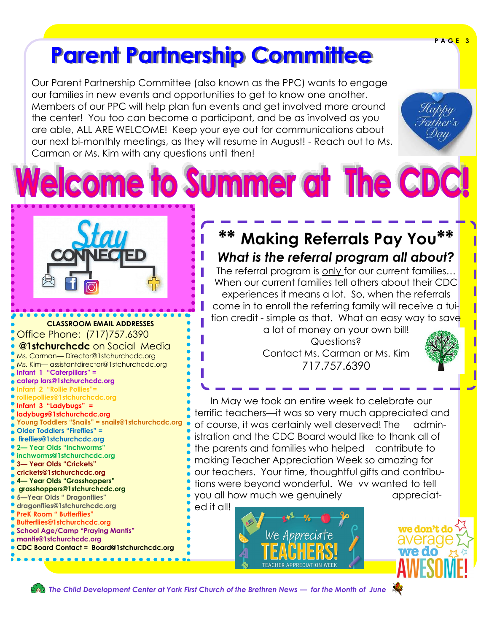# **Parent Partnership Committee**

Our Parent Partnership Committee (also known as the PPC) wants to engage our families in new events and opportunities to get to know one another. Members of our PPC will help plan fun events and get involved more around the center! You too can become a participant, and be as involved as you are able, ALL ARE WELCOME! Keep your eye out for communications about our next bi-monthly meetings, as they will resume in August! - Reach out to Ms. Carman or Ms. Kim with any questions until then!



**P A G E 3**

**CLASSROOM EMAIL ADDRESSES** Office Phone: (717)757.6390 **@1stchurchcdc** on Social Media Ms. Carman— Director@1stchurchcdc.org Ms. Kim— assistantdirector@1stchurchcdc.org **Infant 1 "Caterpillars" = caterp lars@1stchurchcdc.org Infant 2 "Rollie Pollies" rolliepollies@1stchurchcdc.org Infant 3 "Ladybugs" = ladybugs@1stchurchcdc.org Young Toddlers "Snails" = snails@1stchurchcdc.org Older Toddlers "Fireflies" = fireflies@1stchurchcdc.org 2— Year Olds "Inchworms" inchworms@1stchurchcdc.org 3— Year Olds "Crickets" crickets@1stchurchcdc.org 4— Year Olds "Grasshoppers" grasshoppers@1stchurchcdc.org 5—Year Olds " Dragonflies" dragonflies@1stchurchcdc.org PreK Room " Butterflies" Butterflies@1stchurchcdc.org School Age/Camp "Praying Mantis"** 



**CDC Board Contact = Board@1stchurchcdc.org**. . . . . . . . . . . . . . . . .

## **\*\* Making Referrals Pay You\*\*** *What is the referral program all about?*

me to Summer at The CDC!

The referral program is only for our current families… When our current families tell others about their CDC experiences it means a lot. So, when the referrals come in to enroll the referring family will receive a tuition credit - simple as that. What an easy way to save

a lot of money on your own bill! Questions? Contact Ms. Carman or Ms. Kim 717.757.6390



 In May we took an entire week to celebrate our terrific teachers—it was so very much appreciated and of course, it was certainly well deserved! The administration and the CDC Board would like to thank all of the parents and families who helped contribute to making Teacher Appreciation Week so amazing for our teachers. Your time, thoughtful gifts and contributions were beyond wonderful. We vv wanted to tell you all how much we genuinely appreciat-

ed it all!





 *The Child Development Center at York First Church of the Brethren News — for the Month of June* 



we don't do